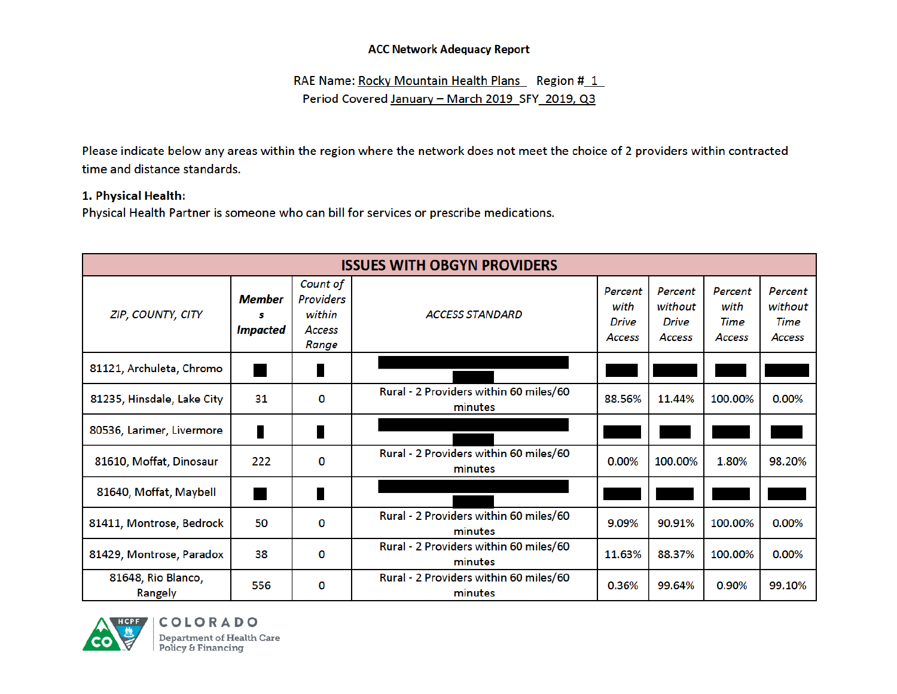RAE Name: Rocky Mountain Health Plans Region #1 Period Covered January - March 2019 SFY 2019, Q3

Please indicate below any areas within the region where the network does not meet the choice of 2 providers within contracted time and distance standards.

#### 1. Physical Health:

Physical Health Partner is someone who can bill for services or prescribe medications.

| <b>ISSUES WITH OBGYN PROVIDERS</b> |                         |                                                           |                                                   |                                           |                                              |                                   |                                      |  |  |  |  |
|------------------------------------|-------------------------|-----------------------------------------------------------|---------------------------------------------------|-------------------------------------------|----------------------------------------------|-----------------------------------|--------------------------------------|--|--|--|--|
| ZIP, COUNTY, CITY                  | Member<br>s<br>Impacted | Count of<br><b>Providers</b><br>within<br>Access<br>Range | <b>ACCESS STANDARD</b>                            | Percent<br>with<br><b>Drive</b><br>Access | Percent<br>without<br><b>Drive</b><br>Access | Percent<br>with<br>Time<br>Access | Percent<br>without<br>Time<br>Access |  |  |  |  |
| 81121, Archuleta, Chromo           |                         | ∎                                                         |                                                   |                                           |                                              |                                   |                                      |  |  |  |  |
| 81235, Hinsdale, Lake City         | 31                      | 0                                                         | Rural - 2 Providers within 60 miles/60<br>minutes | 88.56%                                    | 11.44%                                       | 100.00%                           | 0.00%                                |  |  |  |  |
| 80536, Larimer, Livermore          |                         | I                                                         |                                                   |                                           |                                              |                                   |                                      |  |  |  |  |
| 81610, Moffat, Dinosaur            | 222                     | 0                                                         | Rural - 2 Providers within 60 miles/60<br>minutes | 0.00%                                     | 100.00%                                      | 1.80%                             | 98.20%                               |  |  |  |  |
| 81640, Moffat, Maybell             |                         | I                                                         |                                                   |                                           |                                              |                                   |                                      |  |  |  |  |
| 81411, Montrose, Bedrock           | 50                      | 0                                                         | Rural - 2 Providers within 60 miles/60<br>minutes | 9.09%                                     | 90.91%                                       | 100.00%                           | 0.00%                                |  |  |  |  |
| 81429, Montrose, Paradox           | 38                      | 0                                                         | Rural - 2 Providers within 60 miles/60<br>minutes | 11.63%                                    | 88.37%                                       | 100.00%                           | 0.00%                                |  |  |  |  |
| 81648, Rio Blanco,<br>Rangely      | 556                     | 0                                                         | Rural - 2 Providers within 60 miles/60<br>minutes | 0.36%                                     | 99.64%                                       | 0.90%                             | 99.10%                               |  |  |  |  |

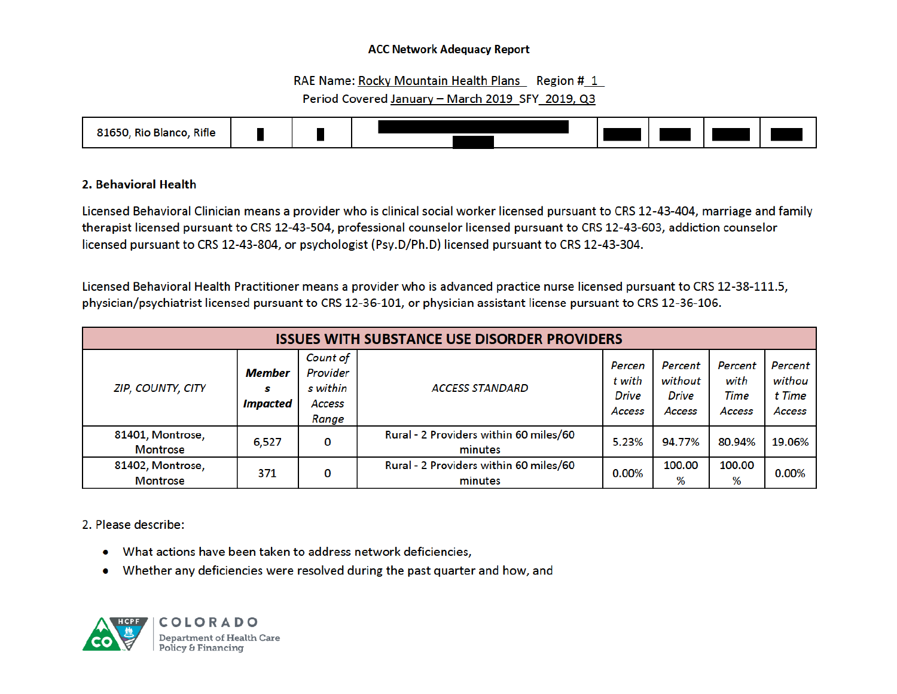#### RAE Name: Rocky Mountain Health Plans Region # 1

## Period Covered January - March 2019 SFY 2019, Q3



## 2. Behavioral Health

Licensed Behavioral Clinician means a provider who is clinical social worker licensed pursuant to CRS 12-43-404, marriage and family therapist licensed pursuant to CRS 12-43-504, professional counselor licensed pursuant to CRS 12-43-603, addiction counselor licensed pursuant to CRS 12-43-804, or psychologist (Psy.D/Ph.D) licensed pursuant to CRS 12-43-304.

Licensed Behavioral Health Practitioner means a provider who is advanced practice nurse licensed pursuant to CRS 12-38-111.5, physician/psychiatrist licensed pursuant to CRS 12-36-101, or physician assistant license pursuant to CRS 12-36-106.

| <b>ISSUES WITH SUBSTANCE USE DISORDER PROVIDERS</b> |                                |                                                     |                                                   |                                            |                                                     |                                   |                                       |  |  |  |  |
|-----------------------------------------------------|--------------------------------|-----------------------------------------------------|---------------------------------------------------|--------------------------------------------|-----------------------------------------------------|-----------------------------------|---------------------------------------|--|--|--|--|
| <b>ZIP, COUNTY, CITY</b>                            | Member<br>s<br><i>Impacted</i> | Count of<br>Provider<br>s within<br>Access<br>Range | <b>ACCESS STANDARD</b>                            | Percen<br>t with<br><b>Drive</b><br>Access | Percent<br>without<br><b>Drive</b><br><b>Access</b> | Percent<br>with<br>Time<br>Access | Percent<br>withou<br>t Time<br>Access |  |  |  |  |
| 81401, Montrose,<br><b>Montrose</b>                 | 6,527                          | 0                                                   | Rural - 2 Providers within 60 miles/60<br>minutes | 5.23%                                      | 94.77%                                              | 80.94%                            | 19.06%                                |  |  |  |  |
| 81402, Montrose,<br><b>Montrose</b>                 | 371                            | 0                                                   | Rural - 2 Providers within 60 miles/60<br>minutes | 0.00%                                      | 100.00<br>%                                         | 100.00<br>%                       | 0.00%                                 |  |  |  |  |

2. Please describe:

- What actions have been taken to address network deficiencies,
- Whether any deficiencies were resolved during the past quarter and how, and

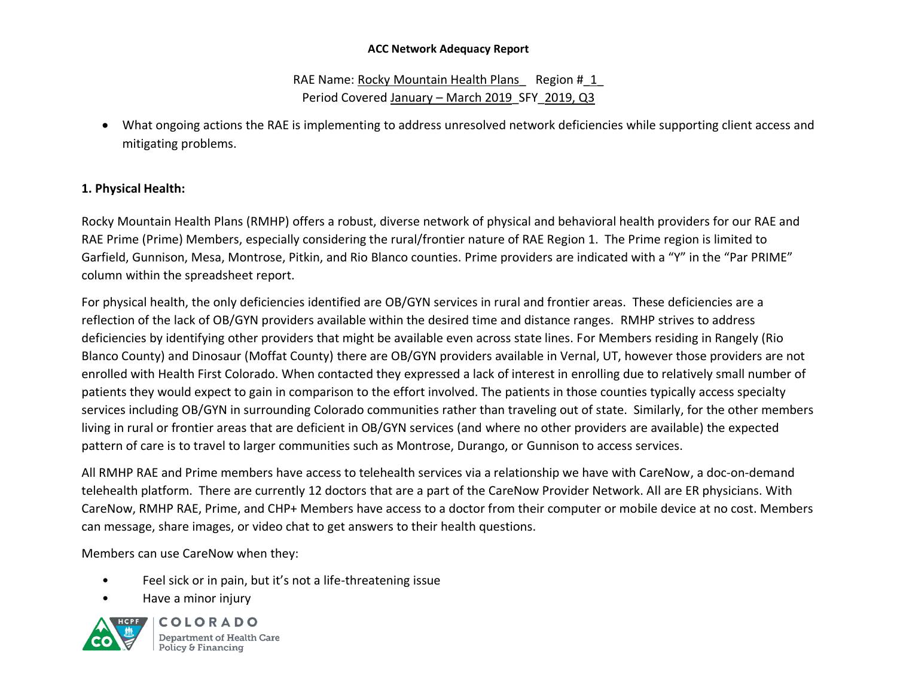RAE Name: Rocky Mountain Health Plans Region # 1 Period Covered January – March 2019 SFY 2019, Q3

• What ongoing actions the RAE is implementing to address unresolved network deficiencies while supporting client access and mitigating problems.

# **1. Physical Health:**

Rocky Mountain Health Plans (RMHP) offers a robust, diverse network of physical and behavioral health providers for our RAE and RAE Prime (Prime) Members, especially considering the rural/frontier nature of RAE Region 1. The Prime region is limited to Garfield, Gunnison, Mesa, Montrose, Pitkin, and Rio Blanco counties. Prime providers are indicated with a "Y" in the "Par PRIME" column within the spreadsheet report.

For physical health, the only deficiencies identified are OB/GYN services in rural and frontier areas. These deficiencies are a reflection of the lack of OB/GYN providers available within the desired time and distance ranges. RMHP strives to address deficiencies by identifying other providers that might be available even across state lines. For Members residing in Rangely (Rio Blanco County) and Dinosaur (Moffat County) there are OB/GYN providers available in Vernal, UT, however those providers are not enrolled with Health First Colorado. When contacted they expressed a lack of interest in enrolling due to relatively small number of patients they would expect to gain in comparison to the effort involved. The patients in those counties typically access specialty services including OB/GYN in surrounding Colorado communities rather than traveling out of state. Similarly, for the other members living in rural or frontier areas that are deficient in OB/GYN services (and where no other providers are available) the expected pattern of care is to travel to larger communities such as Montrose, Durango, or Gunnison to access services.

All RMHP RAE and Prime members have access to telehealth services via a relationship we have with CareNow, a doc-on-demand telehealth platform. There are currently 12 doctors that are a part of the CareNow Provider Network. All are ER physicians. With CareNow, RMHP RAE, Prime, and CHP+ Members have access to a doctor from their computer or mobile device at no cost. Members can message, share images, or video chat to get answers to their health questions.

Members can use CareNow when they:

- Feel sick or in pain, but it's not a life-threatening issue
- Have a minor injury



COLORADO Department of Health Care Policy & Financing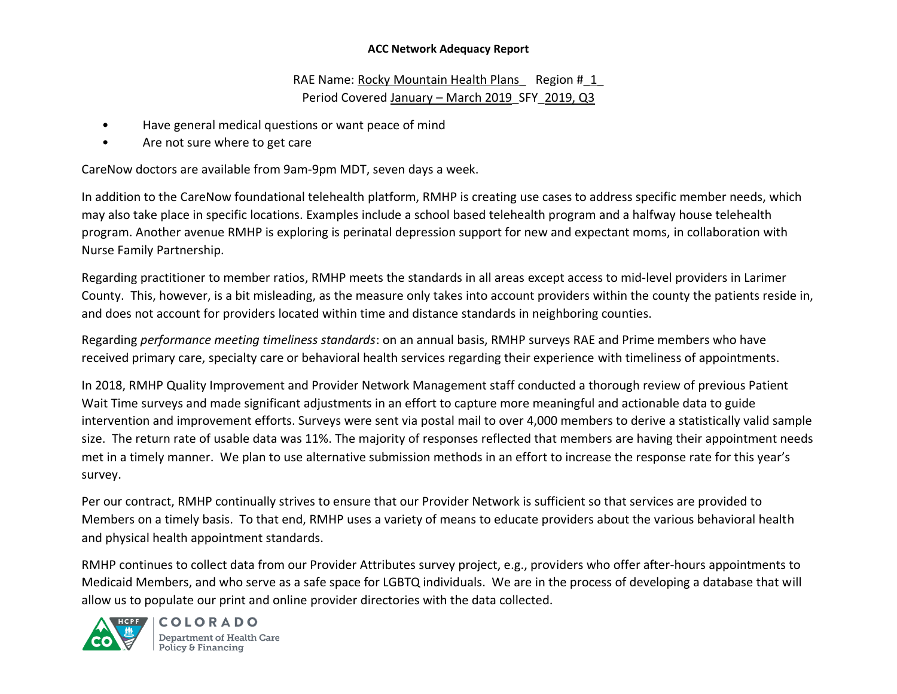RAE Name: Rocky Mountain Health Plans Region # 1 Period Covered January – March 2019 SFY 2019, Q3

- Have general medical questions or want peace of mind
- Are not sure where to get care

CareNow doctors are available from 9am-9pm MDT, seven days a week.

In addition to the CareNow foundational telehealth platform, RMHP is creating use cases to address specific member needs, which may also take place in specific locations. Examples include a school based telehealth program and a halfway house telehealth program. Another avenue RMHP is exploring is perinatal depression support for new and expectant moms, in collaboration with Nurse Family Partnership.

Regarding practitioner to member ratios, RMHP meets the standards in all areas except access to mid-level providers in Larimer County. This, however, is a bit misleading, as the measure only takes into account providers within the county the patients reside in, and does not account for providers located within time and distance standards in neighboring counties.

Regarding *performance meeting timeliness standards*: on an annual basis, RMHP surveys RAE and Prime members who have received primary care, specialty care or behavioral health services regarding their experience with timeliness of appointments.

In 2018, RMHP Quality Improvement and Provider Network Management staff conducted a thorough review of previous Patient Wait Time surveys and made significant adjustments in an effort to capture more meaningful and actionable data to guide intervention and improvement efforts. Surveys were sent via postal mail to over 4,000 members to derive a statistically valid sample size. The return rate of usable data was 11%. The majority of responses reflected that members are having their appointment needs met in a timely manner. We plan to use alternative submission methods in an effort to increase the response rate for this year's survey.

Per our contract, RMHP continually strives to ensure that our Provider Network is sufficient so that services are provided to Members on a timely basis. To that end, RMHP uses a variety of means to educate providers about the various behavioral health and physical health appointment standards.

RMHP continues to collect data from our Provider Attributes survey project, e.g., providers who offer after-hours appointments to Medicaid Members, and who serve as a safe space for LGBTQ individuals. We are in the process of developing a database that will allow us to populate our print and online provider directories with the data collected.



COLORADO Department of Health Care Policy & Financing